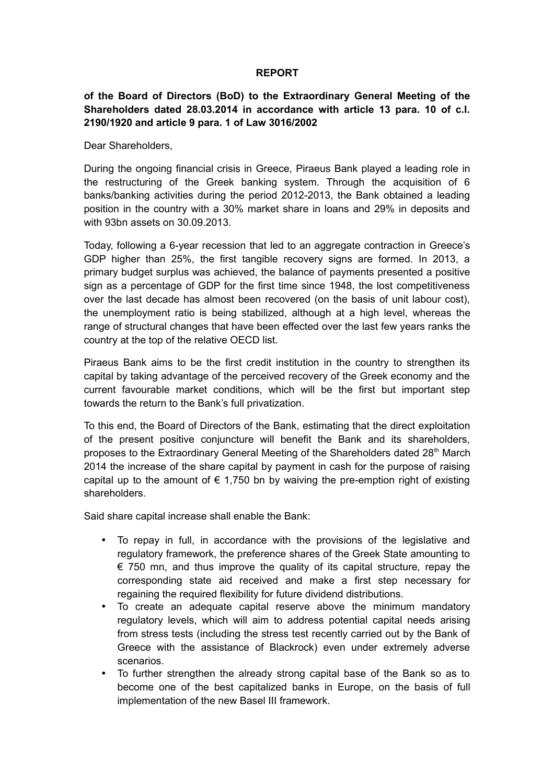### **REPORT**

# **of the Board of Directors (BoD) to the Extraordinary General Meeting of the Shareholders dated 28.03.2014 in accordance with article 13 para. 10 of c.l. 2190/1920 and article 9 para. 1 of Law 3016/2002**

Dear Shareholders,

During the ongoing financial crisis in Greece, Piraeus Bank played a leading role in the restructuring of the Greek banking system. Through the acquisition of 6 banks/banking activities during the period 2012-2013, the Bank obtained a leading position in the country with a 30% market share in loans and 29% in deposits and with 93bn assets on 30.09.2013.

Today, following a 6-year recession that led to an aggregate contraction in Greece's GDP higher than 25%, the first tangible recovery signs are formed. In 2013, a primary budget surplus was achieved, the balance of payments presented a positive sign as a percentage of GDP for the first time since 1948, the lost competitiveness over the last decade has almost been recovered (on the basis of unit labour cost), the unemployment ratio is being stabilized, although at a high level, whereas the range of structural changes that have been effected over the last few years ranks the country at the top of the relative OECD list.

Piraeus Bank aims to be the first credit institution in the country to strengthen its capital by taking advantage of the perceived recovery of the Greek economy and the current favourable market conditions, which will be the first but important step towards the return to the Bank's full privatization.

To this end, the Board of Directors of the Bank, estimating that the direct exploitation of the present positive conjuncture will benefit the Bank and its shareholders, proposes to the Extraordinary General Meeting of the Shareholders dated 28<sup>th</sup> March 2014 the increase of the share capital by payment in cash for the purpose of raising capital up to the amount of  $\epsilon$  1,750 bn by waiving the pre-emption right of existing shareholders.

Said share capital increase shall enable the Bank:

- To repay in full, in accordance with the provisions of the legislative and regulatory framework, the preference shares of the Greek State amounting to  $\epsilon$  750 mn, and thus improve the quality of its capital structure, repay the corresponding state aid received and make a first step necessary for regaining the required flexibility for future dividend distributions.
- To create an adequate capital reserve above the minimum mandatory regulatory levels, which will aim to address potential capital needs arising from stress tests (including the stress test recently carried out by the Bank of Greece with the assistance of Blackrock) even under extremely adverse scenarios.
- To further strengthen the already strong capital base of the Bank so as to become one of the best capitalized banks in Europe, on the basis of full implementation of the new Basel III framework.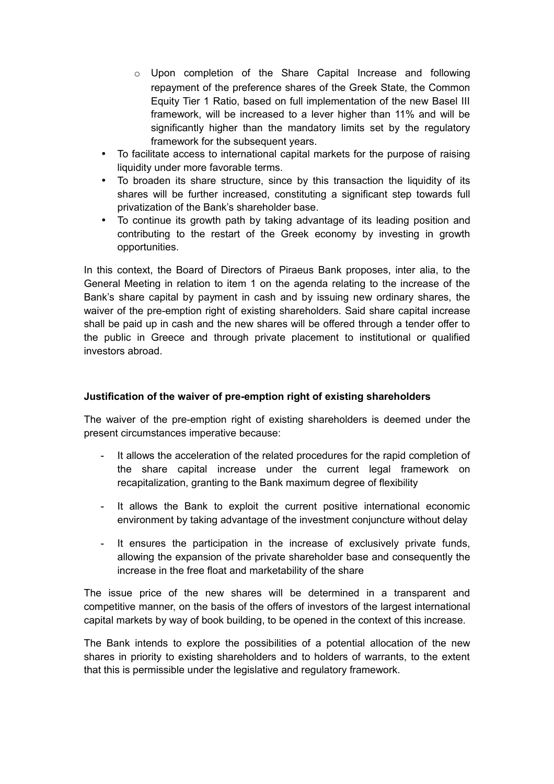- $\circ$  Upon completion of the Share Capital Increase and following repayment of the preference shares of the Greek State, the Common Equity Tier 1 Ratio, based on full implementation of the new Basel III framework, will be increased to a lever higher than 11% and will be significantly higher than the mandatory limits set by the regulatory framework for the subsequent years.
- To facilitate access to international capital markets for the purpose of raising liquidity under more favorable terms.
- To broaden its share structure, since by this transaction the liquidity of its shares will be further increased, constituting a significant step towards full privatization of the Bank's shareholder base.
- To continue its growth path by taking advantage of its leading position and contributing to the restart of the Greek economy by investing in growth opportunities.

In this context, the Board of Directors of Piraeus Bank proposes, inter alia, to the General Meeting in relation to item 1 on the agenda relating to the increase of the Bank's share capital by payment in cash and by issuing new ordinary shares, the waiver of the pre-emption right of existing shareholders. Said share capital increase shall be paid up in cash and the new shares will be offered through a tender offer to the public in Greece and through private placement to institutional or qualified investors abroad.

# **Justification of the waiver of pre-emption right of existing shareholders**

The waiver of the pre-emption right of existing shareholders is deemed under the present circumstances imperative because:

- It allows the acceleration of the related procedures for the rapid completion of the share capital increase under the current legal framework on recapitalization, granting to the Bank maximum degree of flexibility
- It allows the Bank to exploit the current positive international economic environment by taking advantage of the investment conjuncture without delay
- It ensures the participation in the increase of exclusively private funds, allowing the expansion of the private shareholder base and consequently the increase in the free float and marketability of the share

The issue price of the new shares will be determined in a transparent and competitive manner, on the basis of the offers of investors of the largest international capital markets by way of book building, to be opened in the context of this increase.

The Bank intends to explore the possibilities of a potential allocation of the new shares in priority to existing shareholders and to holders of warrants, to the extent that this is permissible under the legislative and regulatory framework.